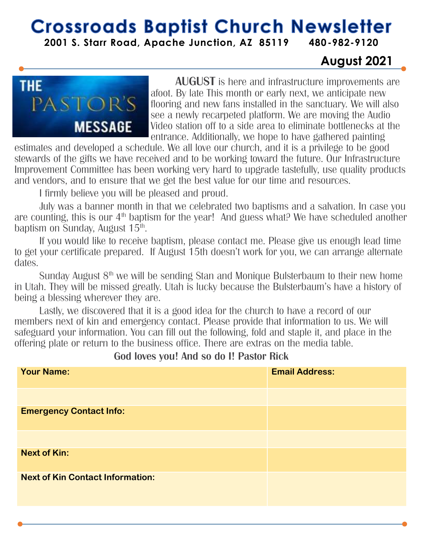## **Crossroads Baptist Church Newsletter**

**2001 S. Starr Road, Apache Junction, AZ 85119 480-982-9120**

#### **August 2021**



**AUGUST** is here and infrastructure improvements are afoot. By late This month or early next, we anticipate new flooring and new fans installed in the sanctuary. We will also see a newly recarpeted platform. We are moving the Audio Video station off to a side area to eliminate bottlenecks at the entrance. Additionally, we hope to have gathered painting

estimates and developed a schedule. We all love our church, and it is a privilege to be good stewards of the gifts we have received and to be working toward the future. Our Infrastructure Improvement Committee has been working very hard to upgrade tastefully, use quality products and vendors, and to ensure that we get the best value for our time and resources.

I firmly believe you will be pleased and proud.

July was a banner month in that we celebrated two baptisms and a salvation. In case you are counting, this is our 4<sup>th</sup> baptism for the year! And guess what? We have scheduled another baptism on Sunday, August 15<sup>th</sup>.

If you would like to receive baptism, please contact me. Please give us enough lead time to get your certificate prepared. If August 15th doesn't work for you, we can arrange alternate dates.

Sunday August 8<sup>th</sup> we will be sending Stan and Monique Bulsterbaum to their new home in Utah. They will be missed greatly. Utah is lucky because the Bulsterbaum's have a history of being a blessing wherever they are.

Lastly, we discovered that it is a good idea for the church to have a record of our members next of kin and emergency contact. Please provide that information to us. We will safeguard your information. You can fill out the following, fold and staple it, and place in the offering plate or return to the business office. There are extras on the media table.

| <b>Your Name:</b>                       | <b>Email Address:</b> |
|-----------------------------------------|-----------------------|
|                                         |                       |
| <b>Emergency Contact Info:</b>          |                       |
|                                         |                       |
| <b>Next of Kin:</b>                     |                       |
| <b>Next of Kin Contact Information:</b> |                       |
|                                         |                       |

#### **God loves you! And so do I! Pastor Rick**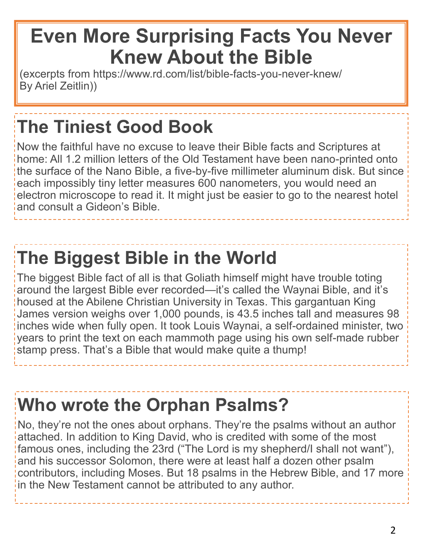## **Even More Surprising Facts You Never Knew About the Bible**

(excerpts from https://www.rd.com/list/bible-facts-you-never-knew/ By Ariel Zeitlin))

## **The Tiniest Good Book**

Now the faithful have no excuse to leave their Bible facts and Scriptures at home: All 1.2 million letters of the Old Testament have been nano-printed onto the surface of the Nano Bible, a five-by-five millimeter aluminum disk. But since each impossibly tiny letter measures 600 nanometers, you would need an electron microscope to read it. It might just be easier to go to the nearest hotel and consult a Gideon's Bible.

## **The Biggest Bible in the World**

The biggest Bible fact of all is that Goliath himself might have trouble toting around the largest Bible ever recorded—it's called the Waynai Bible, and it's housed at the Abilene Christian University in Texas. This gargantuan King James version weighs over 1,000 pounds, is 43.5 inches tall and measures 98 inches wide when fully open. It took Louis Waynai, a self-ordained minister, two years to print the text on each mammoth page using his own self-made rubber stamp press. That's a Bible that would make quite a thump!

## **Who wrote the Orphan Psalms?**

No, they're not the ones about orphans. They're the psalms without an author attached. In addition to King David, who is credited with some of the most famous ones, including the 23rd ("The Lord is my shepherd/I shall not want"), and his successor Solomon, there were at least half a dozen other psalm contributors, including Moses. But 18 psalms in the Hebrew Bible, and 17 more in the New Testament cannot be attributed to any author.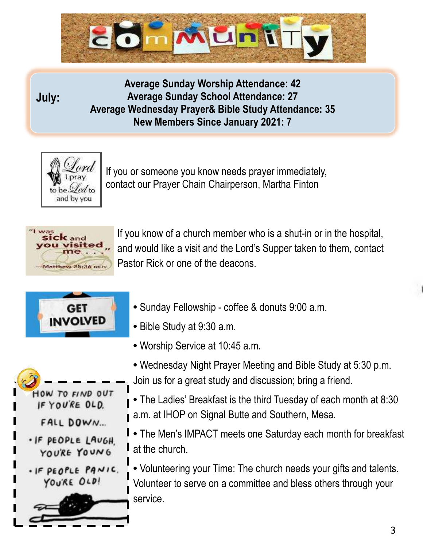

#### **July:**

**Average Sunday Worship Attendance: 42 Average Sunday School Attendance: 27 Average Wednesday Prayer& Bible Study Attendance: 35 New Members Since January 2021: 7**



If you or someone you know needs prayer immediately, contact our Prayer Chain Chairperson, Martha Finton



If you know of a church member who is a shut-in or in the hospital, and would like a visit and the Lord's Supper taken to them, contact Pastor Rick or one of the deacons.



- Sunday Fellowship coffee & donuts 9:00 a.m.
- Bible Study at 9:30 a.m.
- Worship Service at 10:45 a.m.
- Wednesday Night Prayer Meeting and Bible Study at 5:30 p.m. Join us for a great study and discussion; bring a friend.
- The Ladies' Breakfast is the third Tuesday of each month at 8:30 a.m. at IHOP on Signal Butte and Southern, Mesa.
- The Men's IMPACT meets one Saturday each month for breakfast I at the church.

**•** Volunteering your Time: The church needs your gifts and talents. Volunteer to serve on a committee and bless others through your service.

IF YOU'RE OLD. FALL DOWN... . IF PEOPLE LAUGH. YOU'RE YOUNG

HOW TO FIND OUT

. IF PEOPLE PANIC. YOU'RE OLD!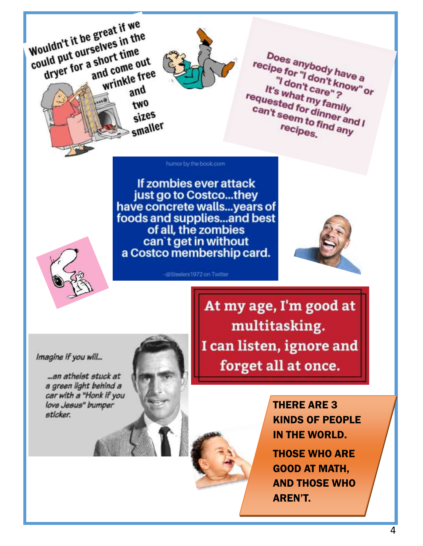Wouldn't it be great if we could put ourselves in the dryer for a short time and come out wrinkle free and two sizes

Does anybody have a recipe for "I don't know" or "I don't care"? It's what my family requested for dinner and I can't seem to find any recipes.

humor by the book.com

smaller

If zombies ever attack just go to Costco...they have concrete walls...years of foods and supplies...and best of all, the zombies can't get in without<br>a Costco membership card.

-@Steelers1972 on Twitter





Imagine if you will...

...an atheist stuck at a green light behind a car with a "Honk if you love Jesus" bumper sticker.

At my age, I'm good at multitasking. I can listen, ignore and forget all at once.



**THERE ARE 3 KINDS OF PEOPLE** IN THE WORLD. **THOSE WHO ARE GOOD AT MATH. AND THOSE WHO AREN'T.**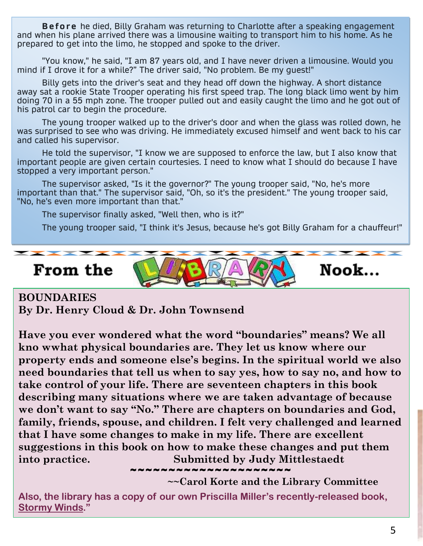**Before** he died, Billy Graham was returning to Charlotte after a speaking engagement and when his plane arrived there was a limousine waiting to transport him to his home. As he prepared to get into the limo, he stopped and spoke to the driver.

"You know," he said, "I am 87 years old, and I have never driven a limousine. Would you mind if I drove it for a while?" The driver said, "No problem. Be my guest!"

Billy gets into the driver's seat and they head off down the highway. A short distance away sat a rookie State Trooper operating his first speed trap. The long black limo went by him doing 70 in a 55 mph zone. The trooper pulled out and easily caught the limo and he got out of his patrol car to begin the procedure.

The young trooper walked up to the driver's door and when the glass was rolled down, he was surprised to see who was driving. He immediately excused himself and went back to his car and called his supervisor.

He told the supervisor, "I know we are supposed to enforce the law, but I also know that important people are given certain courtesies. I need to know what I should do because I have stopped a very important person."

The supervisor asked, "Is it the governor?" The young trooper said, "No, he's more important than that." The supervisor said, "Oh, so it's the president." The young trooper said, "No, he's even more important than that."

The supervisor finally asked, "Well then, who is it?"

The young trooper said, "I think it's Jesus, because he's got Billy Graham for a chauffeur!"

From the



**BOUNDARIES By Dr. Henry Cloud & Dr. John Townsend**

**Have you ever wondered what the word "boundaries" means? We all kno wwhat physical boundaries are. They let us know where our property ends and someone else's begins. In the spiritual world we also need boundaries that tell us when to say yes, how to say no, and how to take control of your life. There are seventeen chapters in this book describing many situations where we are taken advantage of because we don't want to say "No." There are chapters on boundaries and God, family, friends, spouse, and children. I felt very challenged and learned that I have some changes to make in my life. There are excellent suggestions in this book on how to make these changes and put them into practice. Submitted by Judy Mittlestaedt**

**~~Carol Korte and the Library Committee**

**Also, the library has a copy of our own Priscilla Miller's recently-released book, Stormy Winds."** 

~~~~~~~~~~~~~~~~~~

Nook...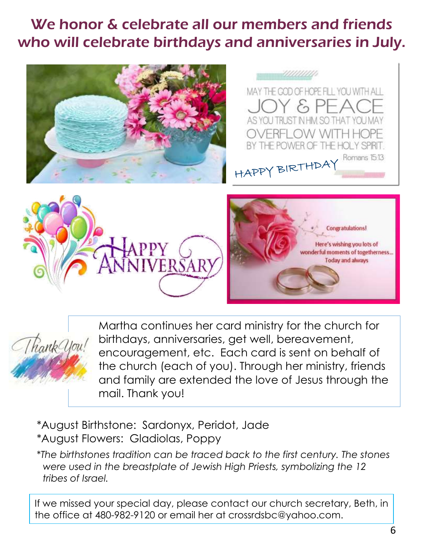### We honor & celebrate all our members and friends who will celebrate birthdays and anniversaries in July.





Martha continues her card ministry for the church for birthdays, anniversaries, get well, bereavement, encouragement, etc. Each card is sent on behalf of the church (each of you). Through her ministry, friends and family are extended the love of Jesus through the mail. Thank you!

\*August Birthstone: Sardonyx, Peridot, Jade \*August Flowers: Gladiolas, Poppy

\**The birthstones tradition can be traced back to the first century. The stones were used in the breastplate of Jewish High Priests, symbolizing the 12 tribes of Israel.* 

If we missed your special day, please contact our church secretary, Beth, in the office at 480-982-9120 or email her at crossrdsbc@yahoo.com.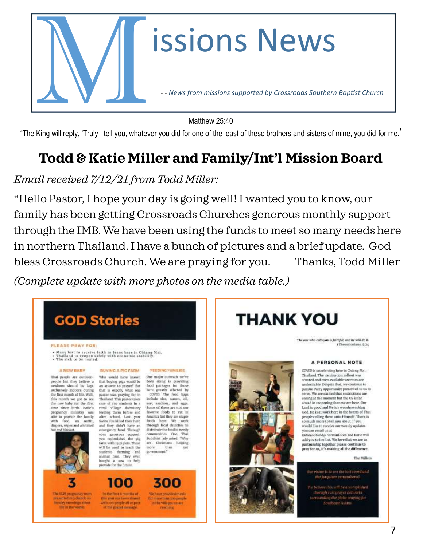

Matthew 25:40

"The King will reply, 'Truly I tell you, whatever you did for one of the least of these brothers and sisters of mine, you did for me.'

### **Todd & Katie Miller and Family/Int'l Mission Board**

#### *Email received 7/12/21 from Todd Miller:*

"Hello Pastor, I hope your day is going well! I wanted you to know, our family has been getting Crossroads Churches generous monthly support through the IMB. We have been using the funds to meet so many needs here in northern Thailand. I have a bunch of pictures and a brief update. God bless Crossroads Church. We are praying for you. Thanks, Todd Miller *(Complete update with more photos on the media table.)*

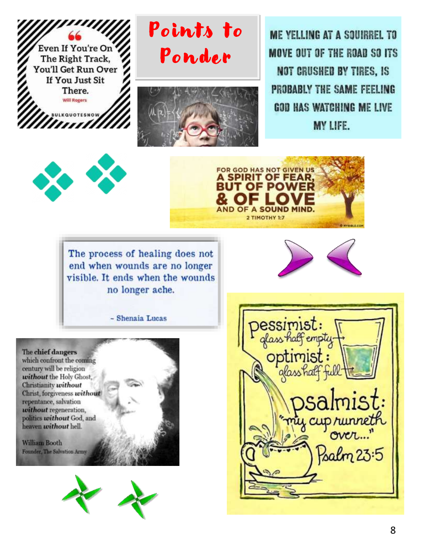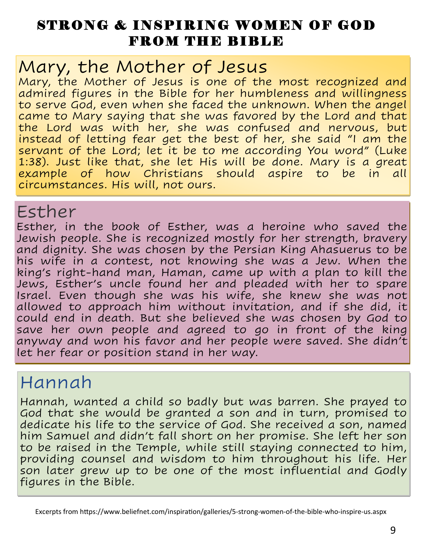### STRONG & INSPIRING WOMEN OF GOD FROM THE BIBLE

### Mary, the Mother of Jesus

Mary, the Mother of Jesus is one of the most recognized and admired figures in the Bible for her humbleness and willingness to serve God, even when she faced the unknown. When the angel came to Mary saying that she was favored by the Lord and that the Lord was with her, she was confused and nervous, but instead of letting fear get the best of her, she said "I am the servant of the Lord; let it be to me according You word" (Luke 1:38). Just like that, she let His will be done. Mary is a great example of how Christians should aspire to be in all circumstances. His will, not ours.

### Esther

Esther, in the book of Esther, was a heroine who saved the Jewish people. She is recognized mostly for her strength, bravery and dignity. She was chosen by the Persian King Ahasuerus to be his wife in a contest, not knowing she was a Jew. When the king's right-hand man, Haman, came up with a plan to kill the Jews, Esther's uncle found her and pleaded with her to spare Israel. Even though she was his wife, she knew she was not allowed to approach him without invitation, and if she did, it could end in death. But she believed she was chosen by God to save her own people and agreed to go in front of the king anyway and won his favor and her people were saved. She didn't let her fear or position stand in her way.

## Hannah

Hannah, wanted a child so badly but was barren. She prayed to God that she would be granted a son and in turn, promised to dedicate his life to the service of God. She received a son, named him Samuel and didn't fall short on her promise. She left her son to be raised in the Temple, while still staying connected to him, providing counsel and wisdom to him throughout his life. Her son later grew up to be one of the most influential and Godly figures in the Bible.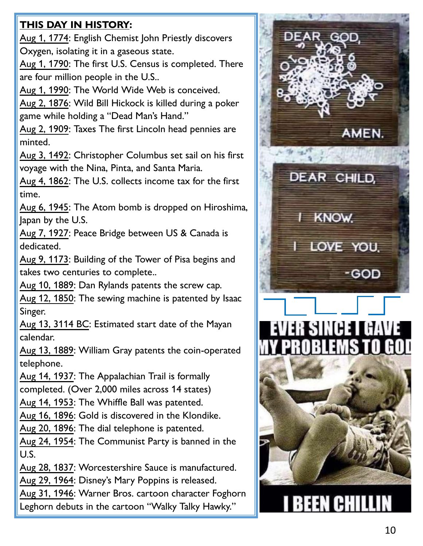#### **THIS DAY IN HISTORY :**

Aug 1, 1774 : English Chemist John Priestly discovers Oxygen, isolating it in a gaseous state.

Aug 1, 1790: The first U.S. Census is completed. There are four million people in the U.S..

Aug 1, 1990: The World Wide Web is conceived.

Aug 2, 1876: Wild Bill Hickock is killed during a poker game while holding a "Dead Man's Hand."

Aug 2, 1909: Taxes The first Lincoln head pennies are minted.

Aug 3, 1492: Christopher Columbus set sail on his first voyage with the Nina, Pinta, and Santa Maria.

Aug 4, 1862: The U.S. collects income tax for the first time.

Aug 6, 1945: The Atom bomb is dropped on Hiroshima, Japan by the U.S.

Aug 7, 1927: Peace Bridge between US & Canada is dedicated.

Aug 9, 1173: Building of the Tower of Pisa begins and takes two centuries to complete..

Aug 10, 1889: Dan Rylands patents the screw cap.

Aug 12, 1850: The sewing machine is patented by Isaac Singer.

Aug 13, 3114 BC: Estimated start date of the Mayan calendar.

Aug 13, 1889: William Gray patents the coin-operated telephone.

Aug 14, 1937: The Appalachian Trail is formally completed. (Over 2,000 miles across 14 states)

Aug 14, 1953: The Whiffle Ball was patented.

Aug 16, 1896: Gold is discovered in the Klondike.

Aug 20, 1896: The dial telephone is patented.

Aug 24, 1954: The Communist Party is banned in the U.S.

Aug 28, 1837: Worcestershire Sauce is manufactured.

Aug 29, 1964: Disney's Mary Poppins is released.

Aug 31, 1946: Warner Bros. cartoon character Foghorn Leghorn debuts in the cartoon "Walky Talky Hawky."

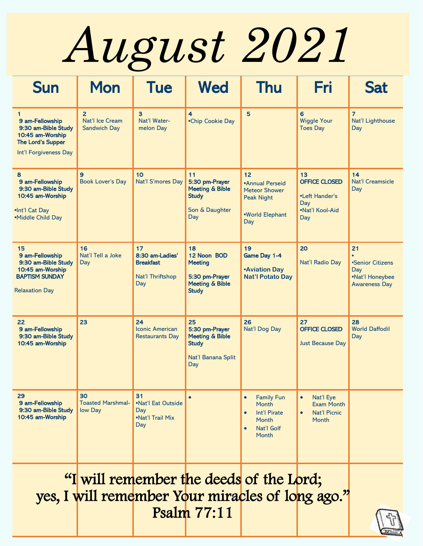*August 2021*

| <b>Sun</b>                                                                                                         | <b>Mon</b>                                               | <b>Tue</b>                                                           | <b>Wed</b>                                                                                          | <b>Thu</b>                                                                                                        | Fri                                                                           | <b>Sat</b>                                                               |
|--------------------------------------------------------------------------------------------------------------------|----------------------------------------------------------|----------------------------------------------------------------------|-----------------------------------------------------------------------------------------------------|-------------------------------------------------------------------------------------------------------------------|-------------------------------------------------------------------------------|--------------------------------------------------------------------------|
| 9 am-Fellowship<br>9:30 am-Bible Study<br>10:45 am-Worship<br><b>The Lord's Supper</b><br>Int'l Forgiveness Day    | $\overline{2}$<br>Nat'l Ice Cream<br><b>Sandwich Day</b> | $\overline{3}$<br>Nat'l Water-<br>melon Day                          | $\overline{\mathbf{4}}$<br>•Chip Cookie Day                                                         | 5                                                                                                                 | 6<br><b>Wiggle Your</b><br><b>Toes Day</b>                                    | $\overline{7}$<br>Nat'l Lighthouse<br>Day                                |
| 8<br>9 am-Fellowship<br>9:30 am-Bible Study<br>10:45 am-Worship<br>.Int'l Cat Day<br>•Middle Child Day             | 9<br><b>Book Lover's Day</b>                             | 10<br>Nat'l S'mores Day                                              | 11<br>5:30 pm-Prayer<br><b>Meeting &amp; Bible</b><br><b>Study</b><br>Son & Daughter<br>Day         | 12<br>•Annual Perseid<br><b>Meteor Shower</b><br><b>Peak Night</b><br>•World Elephant<br>Day                      | 13<br><b>OFFICE CLOSED</b><br>•Left Hander's<br>Day<br>•Nat'l Kool-Aid<br>Day | 14<br><b>Nat'l Creamsicle</b><br>Day                                     |
| 15<br>9 am-Fellowship<br>9:30 am-Bible Study<br>10:45 am-Worship<br><b>BAPTISM SUNDAY</b><br><b>Relaxation Day</b> | 16<br>Nat'l Tell a Joke<br>Day                           | 17<br>8:30 am-Ladies'<br><b>Breakfast</b><br>Nat'l Thriftshop<br>Day | 18<br>12 Noon BOD<br><b>Meeting</b><br>5:30 pm-Prayer<br><b>Meeting &amp; Bible</b><br><b>Study</b> | 19<br>Game Day 1-4<br><b>Aviation Day</b><br><b>Nat'l Potato Day</b>                                              | 20<br>Nat'l Radio Day                                                         | 21<br>•Senior Citizens<br>Day<br>•Nat'l Honeybee<br><b>Awareness Day</b> |
| 22<br>9 am-Fellowship<br>9:30 am-Bible Study<br>10:45 am-Worship                                                   | 23                                                       | 24<br><b>Iconic American</b><br><b>Restaurants Day</b>               | 25<br>5:30 pm-Prayer<br><b>Meeting &amp; Bible</b><br><b>Study</b><br>Nat'l Banana Split<br>Day     | 26<br>Nat'l Dog Day                                                                                               | 27<br><b>OFFICE CLOSED</b><br><b>Just Because Day</b>                         | 28<br><b>World Daffodil</b><br>Day                                       |
| 29<br>9 am-Fellowship<br>9:30 am-Bible Study<br>10:45 am-Worship                                                   | 30<br><b>Toasted Marshmal-</b><br>low Day                | 31<br>.Nat'l Eat Outside<br>Day<br>.Nat'l Trail Mix<br>Day           |                                                                                                     | <b>Family Fun</b><br>$\bullet$<br>Month<br>Int'l Pirate<br>$\bullet$<br>Month<br>Nat'l Golf<br>$\bullet$<br>Month | Nat'l Eye<br><b>Exam Month</b><br><b>Nat'l Picnic</b><br><b>Month</b>         |                                                                          |

"I will remember the deeds of the Lord; yes, I will remember Your miracles of long ago." Psalm 77:11